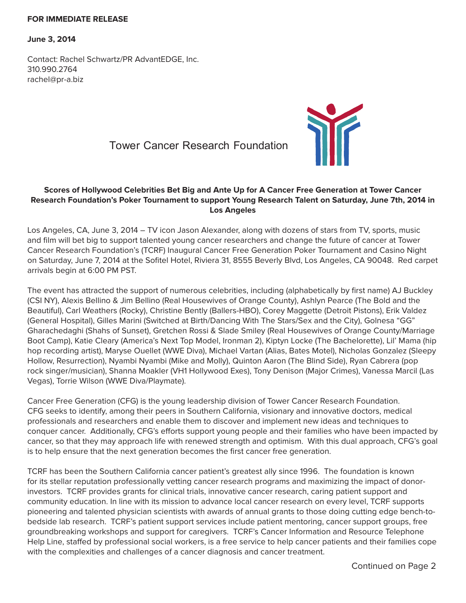## **FOR IMMEDIATE RELEASE**

**June 3, 2014**

Contact: Rachel Schwartz/PR AdvantEDGE, Inc. 310.990.2764 rachel@pr-a.biz





## **Scores of Hollywood Celebrities Bet Big and Ante Up for A Cancer Free Generation at Tower Cancer Research Foundation's Poker Tournament to support Young Research Talent on Saturday, June 7th, 2014 in Los Angeles**

Los Angeles, CA, June 3, 2014 – TV icon Jason Alexander, along with dozens of stars from TV, sports, music and film will bet big to support talented young cancer researchers and change the future of cancer at Tower Cancer Research Foundation's (TCRF) Inaugural Cancer Free Generation Poker Tournament and Casino Night on Saturday, June 7, 2014 at the Sofitel Hotel, Riviera 31, 8555 Beverly Blvd, Los Angeles, CA 90048. Red carpet arrivals begin at 6:00 PM PST.

The event has attracted the support of numerous celebrities, including (alphabetically by first name) AJ Buckley (CSI NY), Alexis Bellino & Jim Bellino (Real Housewives of Orange County), Ashlyn Pearce (The Bold and the Beautiful), Carl Weathers (Rocky), Christine Bently (Ballers-HBO), Corey Maggette (Detroit Pistons), Erik Valdez (General Hospital), Gilles Marini (Switched at Birth/Dancing With The Stars/Sex and the City), Golnesa "GG" Gharachedaghi (Shahs of Sunset), Gretchen Rossi & Slade Smiley (Real Housewives of Orange County/Marriage Boot Camp), Katie Cleary (America's Next Top Model, Ironman 2), Kiptyn Locke (The Bachelorette), Lil' Mama (hip hop recording artist), Maryse Ouellet (WWE Diva), Michael Vartan (Alias, Bates Motel), Nicholas Gonzalez (Sleepy Hollow, Resurrection), Nyambi Nyambi (Mike and Molly), Quinton Aaron (The Blind Side), Ryan Cabrera (pop rock singer/musician), Shanna Moakler (VH1 Hollywood Exes), Tony Denison (Major Crimes), Vanessa Marcil (Las Vegas), Torrie Wilson (WWE Diva/Playmate).

Cancer Free Generation (CFG) is the young leadership division of Tower Cancer Research Foundation. CFG seeks to identify, among their peers in Southern California, visionary and innovative doctors, medical professionals and researchers and enable them to discover and implement new ideas and techniques to conquer cancer. Additionally, CFG's efforts support young people and their families who have been impacted by cancer, so that they may approach life with renewed strength and optimism. With this dual approach, CFG's goal is to help ensure that the next generation becomes the first cancer free generation.

TCRF has been the Southern California cancer patient's greatest ally since 1996. The foundation is known for its stellar reputation professionally vetting cancer research programs and maximizing the impact of donorinvestors. TCRF provides grants for clinical trials, innovative cancer research, caring patient support and community education. In line with its mission to advance local cancer research on every level, TCRF supports pioneering and talented physician scientists with awards of annual grants to those doing cutting edge bench-tobedside lab research. TCRF's patient support services include patient mentoring, cancer support groups, free groundbreaking workshops and support for caregivers. TCRF's Cancer Information and Resource Telephone Help Line, staffed by professional social workers, is a free service to help cancer patients and their families cope with the complexities and challenges of a cancer diagnosis and cancer treatment.